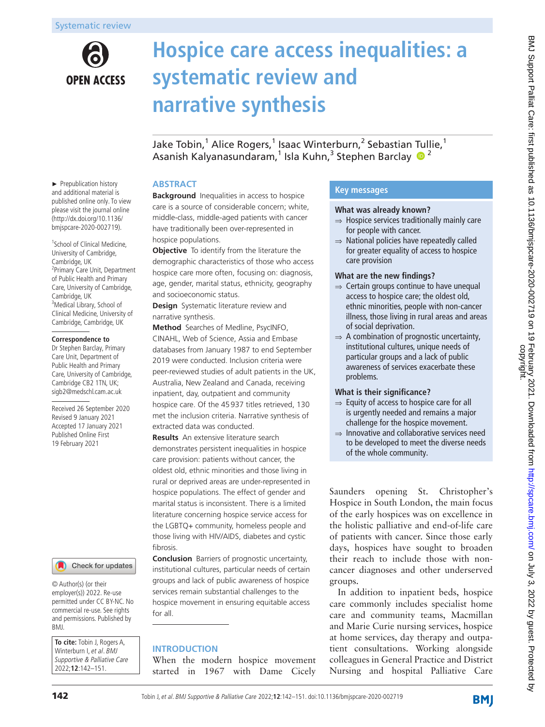# **OPEN ACCESS**

# **Hospice care access inequalities: a systematic review and narrative synthesis**

Jake Tobin,<sup>1</sup> Alice Rogers,<sup>1</sup> Isaac Winterburn,<sup>2</sup> Sebastian Tullie,<sup>1</sup> Asanish Kalyanasundaram,<sup>1</sup> Isla Kuhn,<sup>3</sup> Stephen Barclay <sup>1</sup>

# **ABSTRACT**

**Background** Inequalities in access to hospice care is a source of considerable concern; white, middle-class, middle-aged patients with cancer have traditionally been over-represented in hospice populations.

**Objective** To identify from the literature the demographic characteristics of those who access hospice care more often, focusing on: diagnosis, age, gender, marital status, ethnicity, geography and socioeconomic status.

**Design** Systematic literature review and narrative synthesis.

**Method** Searches of Medline, PsycINFO,

CINAHL, Web of Science, Assia and Embase databases from January 1987 to end September 2019 were conducted. Inclusion criteria were peer-reviewed studies of adult patients in the UK, Australia, New Zealand and Canada, receiving inpatient, day, outpatient and community hospice care. Of the 45937 titles retrieved, 130 met the inclusion criteria. Narrative synthesis of extracted data was conducted.

**Results** An extensive literature search demonstrates persistent inequalities in hospice care provision: patients without cancer, the oldest old, ethnic minorities and those living in rural or deprived areas are under-represented in hospice populations. The effect of gender and marital status is inconsistent. There is a limited literature concerning hospice service access for the LGBTQ+ community, homeless people and those living with HIV/AIDS, diabetes and cystic fibrosis.

**Conclusion** Barriers of prognostic uncertainty, institutional cultures, particular needs of certain groups and lack of public awareness of hospice services remain substantial challenges to the hospice movement in ensuring equitable access for all.

# **INTRODUCTION**

When the modern hospice movement started in 1967 with Dame Cicely

# **Key messages**

#### **What was already known?**

- $\Rightarrow$  Hospice services traditionally mainly care for people with cancer.
- $\Rightarrow$  National policies have repeatedly called for greater equality of access to hospice care provision

#### **What are the new findings?**

- ⇒ Certain groups continue to have unequal access to hospice care; the oldest old, ethnic minorities, people with non-cancer illness, those living in rural areas and areas of social deprivation.
- $\Rightarrow$  A combination of prognostic uncertainty. institutional cultures, unique needs of particular groups and a lack of public awareness of services exacerbate these problems.

# **What is their significance?**

- ⇒ Equity of access to hospice care for all is urgently needed and remains a major challenge for the hospice movement.
- ⇒ Innovative and collaborative services need to be developed to meet the diverse needs of the whole community.

Saunders opening St. Christopher's Hospice in South London, the main focus of the early hospices was on excellence in the holistic palliative and end-of-life care of patients with cancer. Since those early days, hospices have sought to broaden their reach to include those with noncancer diagnoses and other underserved groups.

In addition to inpatient beds, hospice care commonly includes specialist home care and community teams, Macmillan and Marie Curie nursing services, hospice at home services, day therapy and outpatient consultations. Working alongside colleagues in General Practice and District Nursing and hospital Palliative Care

► Prepublication history and additional material is published online only. To view please visit the journal online (http://dx.doi.org/10.1136/ bmjspcare-2020-002719).

<sup>1</sup>School of Clinical Medicine, University of Cambridge, Cambridge, UK <sup>2</sup> Primary Care Unit, Department of Public Health and Primary Care, University of Cambridge, Cambridge, UK <sup>3</sup>Medical Library, School of Clinical Medicine, University of Cambridge, Cambridge, UK

#### **Correspondence to**

Dr Stephen Barclay, Primary Care Unit, Department of Public Health and Primary Care, University of Cambridge, Cambridge CB2 1TN, UK; sigb2@medschl.cam.ac.uk

Received 26 September 2020 Revised 9 January 2021 Accepted 17 January 2021 Published Online First 19 February 2021



© Author(s) (or their employer(s)) 2022. Re-use permitted under CC BY-NC. No commercial re-use. See rights and permissions. Published by BMJ.

**To cite:** Tobin J, Rogers A, Winterburn I, et al. BMJ Supportive & Palliative Care 2022;**12**:142–151.

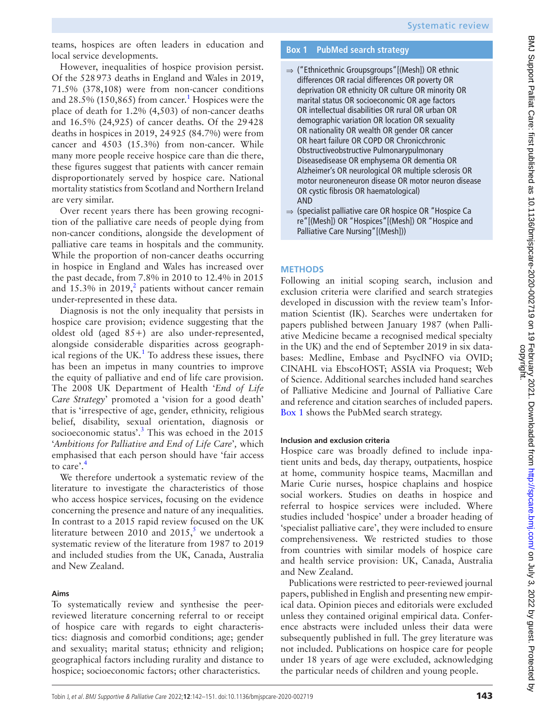teams, hospices are often leaders in education and local service developments.

However, inequalities of hospice provision persist. Of the 528973 deaths in England and Wales in 2019, 71.5% (378,108) were from non-cancer conditions and  $28.5\%$  ([1](#page-5-0)50,865) from cancer.<sup>1</sup> Hospices were the place of death for 1.2% (4,503) of non-cancer deaths and 16.5% (24,925) of cancer deaths. Of the 29428 deaths in hospices in 2019, 24925 (84.7%) were from cancer and 4503 (15.3%) from non-cancer. While many more people receive hospice care than die there, these figures suggest that patients with cancer remain disproportionately served by hospice care. National mortality statistics from Scotland and Northern Ireland are very similar.

Over recent years there has been growing recognition of the palliative care needs of people dying from non-cancer conditions, alongside the development of palliative care teams in hospitals and the community. While the proportion of non-cancer deaths occurring in hospice in England and Wales has increased over the past decade, from 7.8% in 2010 to 12.4% in 2015 and  $15.3\%$  in  $2019<sub>1</sub><sup>2</sup>$  $2019<sub>1</sub><sup>2</sup>$  patients without cancer remain under-represented in these data.

Diagnosis is not the only inequality that persists in hospice care provision; evidence suggesting that the oldest old (aged 85+) are also under-represented, alongside considerable disparities across geographical regions of the UK. $1$  To address these issues, there has been an impetus in many countries to improve the equity of palliative and end of life care provision. The 2008 UK Department of Health '*End of Life Care Strategy*' promoted a 'vision for a good death' that is 'irrespective of age, gender, ethnicity, religious belief, disability, sexual orientation, diagnosis or socioeconomic status'.<sup>[3](#page-5-2)</sup> This was echoed in the  $2015$ '*Ambitions for Palliative and End of Life Care*'*,* which emphasised that each person should have 'fair access to care'.[4](#page-5-3)

We therefore undertook a systematic review of the literature to investigate the characteristics of those who access hospice services, focusing on the evidence concerning the presence and nature of any inequalities. In contrast to a 2015 rapid review focused on the UK literature between 2010 and 201[5](#page-5-4),<sup>5</sup> we undertook a systematic review of the literature from 1987 to 2019 and included studies from the UK, Canada, Australia and New Zealand.

# **Aims**

To systematically review and synthesise the peerreviewed literature concerning referral to or receipt of hospice care with regards to eight characteristics: diagnosis and comorbid conditions; age; gender and sexuality; marital status; ethnicity and religion; geographical factors including rurality and distance to hospice; socioeconomic factors; other characteristics.

# **Box 1 PubMed search strategy**

- <span id="page-1-0"></span>⇒ ("Ethnicethnic Groupsgroups"[(Mesh]) OR ethnic differences OR racial differences OR poverty OR deprivation OR ethnicity OR culture OR minority OR marital status OR socioeconomic OR age factors OR intellectual disabilities OR rural OR urban OR demographic variation OR location OR sexuality OR nationality OR wealth OR gender OR cancer OR heart failure OR COPD OR Chronicchronic Obstructiveobstructive Pulmonarypulmonary Diseasedisease OR emphysema OR dementia OR Alzheimer's OR neurological OR multiple sclerosis OR motor neuroneneuron disease OR motor neuron disease OR cystic fibrosis OR haematological) AND
- ⇒ (specialist palliative care OR hospice OR "Hospice Ca re"[(Mesh]) OR "Hospices"[(Mesh]) OR "Hospice and Palliative Care Nursing"[(Mesh]))

# **METHODS**

Following an initial scoping search, inclusion and exclusion criteria were clarified and search strategies developed in discussion with the review team's Information Scientist (IK). Searches were undertaken for papers published between January 1987 (when Palliative Medicine became a recognised medical specialty in the UK) and the end of September 2019 in six databases: Medline, Embase and PsycINFO via OVID; CINAHL via EbscoHOST; ASSIA via Proquest; Web of Science. Additional searches included hand searches of Palliative Medicine and Journal of Palliative Care and reference and citation searches of included papers. [Box](#page-1-0) 1 shows the PubMed search strategy.

# **Inclusion and exclusion criteria**

Hospice care was broadly defined to include inpatient units and beds, day therapy, outpatients, hospice at home, community hospice teams, Macmillan and Marie Curie nurses, hospice chaplains and hospice social workers. Studies on deaths in hospice and referral to hospice services were included. Where studies included 'hospice' under a broader heading of 'specialist palliative care', they were included to ensure comprehensiveness. We restricted studies to those from countries with similar models of hospice care and health service provision: UK, Canada, Australia and New Zealand.

Publications were restricted to peer-reviewed journal papers, published in English and presenting new empirical data. Opinion pieces and editorials were excluded unless they contained original empirical data. Conference abstracts were included unless their data were subsequently published in full. The grey literature was not included. Publications on hospice care for people under 18 years of age were excluded, acknowledging the particular needs of children and young people.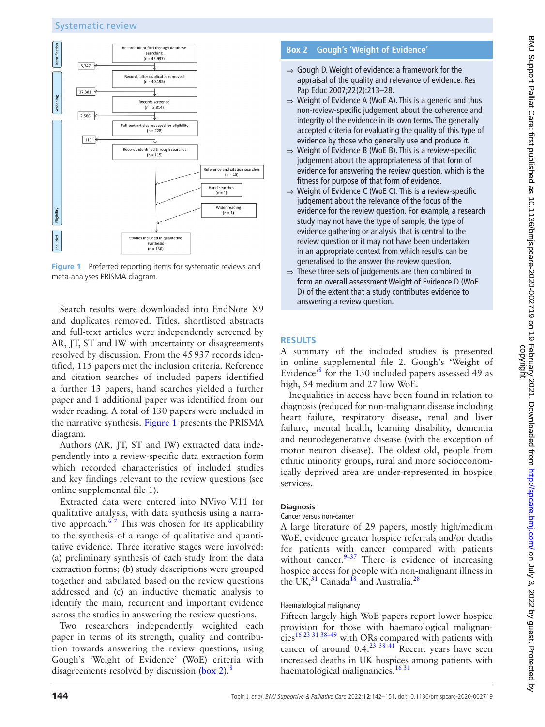# Systematic review



<span id="page-2-0"></span>**Figure 1** Preferred reporting items for systematic reviews and meta-analyses PRISMA diagram.

Search results were downloaded into EndNote X9 and duplicates removed. Titles, shortlisted abstracts and full-text articles were independently screened by AR, JT, ST and IW with uncertainty or disagreements resolved by discussion. From the 45937 records identified, 115 papers met the inclusion criteria. Reference and citation searches of included papers identified a further 13 papers, hand searches yielded a further paper and 1 additional paper was identified from our wider reading. A total of 130 papers were included in the narrative synthesis. [Figure](#page-2-0) 1 presents the PRISMA diagram.

Authors (AR, JT, ST and IW) extracted data independently into a review-specific data extraction form which recorded characteristics of included studies and key findings relevant to the review questions (see [online supplemental file 1\)](https://dx.doi.org/10.1136/bmjspcare-2020-002719).

Extracted data were entered into NVivo V.11 for qualitative analysis, with data synthesis using a narrative approach. $67$  This was chosen for its applicability to the synthesis of a range of qualitative and quantitative evidence. Three iterative stages were involved: (a) preliminary synthesis of each study from the data extraction forms; (b) study descriptions were grouped together and tabulated based on the review questions addressed and (c) an inductive thematic analysis to identify the main, recurrent and important evidence across the studies in answering the review questions.

Two researchers independently weighted each paper in terms of its strength, quality and contribution towards answering the review questions, using Gough's 'Weight of Evidence' (WoE) criteria with disagreements resolved by discussion [\(box](#page-2-1) 2).<sup>[8](#page-5-6)</sup>

# **Box 2 Gough's 'Weight of Evidence'**

- <span id="page-2-1"></span> $\Rightarrow$  Gough D. Weight of evidence: a framework for the appraisal of the quality and relevance of evidence. Res Pap Educ 2007;22(2):213–28.
- ⇒ Weight of Evidence A (WoE A). This is a generic and thus non-review-specific judgement about the coherence and integrity of the evidence in its own terms. The generally accepted criteria for evaluating the quality of this type of evidence by those who generally use and produce it.
- $\Rightarrow$  Weight of Evidence B (WoE B). This is a review-specific judgement about the appropriateness of that form of evidence for answering the review question, which is the fitness for purpose of that form of evidence.
- ⇒ Weight of Evidence C (WoE C). This is a review-specific judgement about the relevance of the focus of the evidence for the review question. For example, a research study may not have the type of sample, the type of evidence gathering or analysis that is central to the review question or it may not have been undertaken in an appropriate context from which results can be generalised to the answer the review question.
- $\Rightarrow$  These three sets of judgements are then combined to form an overall assessment Weight of Evidence D (WoE D) of the extent that a study contributes evidence to answering a review question.

# **RESULTS**

A summary of the included studies is presented in [online supplemental file 2](https://dx.doi.org/10.1136/bmjspcare-2020-002719). Gough's 'Weight of Evidence['8](#page-5-6) for the 130 included papers assessed 49 as high, 54 medium and 27 low WoE.

Inequalities in access have been found in relation to diagnosis (reduced for non-malignant disease including heart failure, respiratory disease, renal and liver failure, mental health, learning disability, dementia and neurodegenerative disease (with the exception of motor neuron disease). The oldest old, people from ethnic minority groups, rural and more socioeconomically deprived area are under-represented in hospice services.

# **Diagnosis**

#### Cancer versus non-cancer

A large literature of 29 papers, mostly high/medium WoE, evidence greater hospice referrals and/or deaths for patients with cancer compared with patients without cancer. $9-37$  There is evidence of increasing hospice access for people with non-malignant illness in the UK, $31$  Canada<sup>18</sup> and Australia.<sup>[28](#page-6-2)</sup>

# Haematological malignancy

Fifteen largely high WoE papers report lower hospice provision for those with haematological malignancie[s16 23 31 38–49](#page-6-3) with ORs compared with patients with cancer of around  $0.4$ <sup>23 38 41</sup> Recent years have seen increased deaths in UK hospices among patients with haematological malignancies.<sup>1631</sup>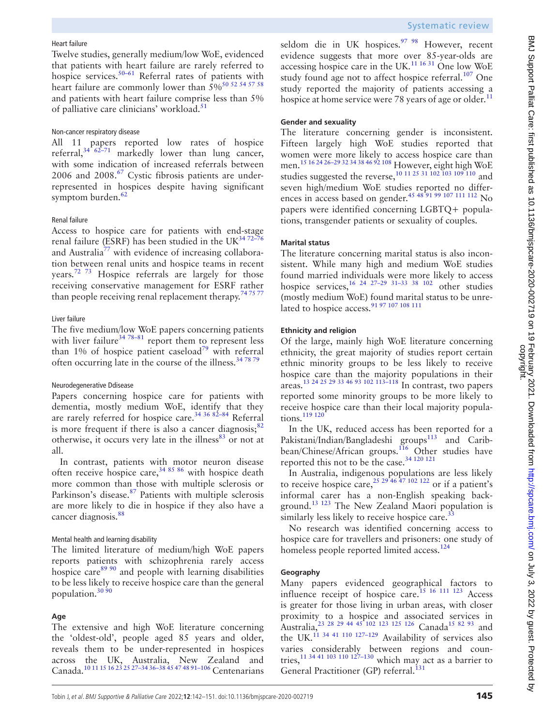#### Heart failure

Twelve studies, generally medium/low WoE, evidenced that patients with heart failure are rarely referred to hospice services. $50-61$  Referral rates of patients with heart failure are commonly lower than  $5\%$ <sup>[50 52 54 57 58](#page-6-5)</sup> and patients with heart failure comprise less than 5% of palliative care clinicians' workload.<sup>[51](#page-6-6)</sup>

#### Non-cancer respiratory disease

All 11 papers reported low rates of hospice referral, $34\sqrt{62-71}$  markedly lower than lung cancer, with some indication of increased referrals between 2006 and 2008.<sup>[67](#page-7-0)</sup> Cystic fibrosis patients are underrepresented in hospices despite having significant symptom burden.<sup>[62](#page-7-1)</sup>

#### Renal failure

Access to hospice care for patients with end-stage renal failure (ESRF) has been studied in the UK $^{34.72-76}$ and Australia<sup>77</sup> with evidence of increasing collaboration between renal units and hospice teams in recent years.<sup>[72 73](#page-7-3)</sup> Hospice referrals are largely for those receiving conservative management for ESRF rather than people receiving renal replacement therapy.<sup>74 75 77</sup>

#### Liver failure

The five medium/low WoE papers concerning patients with liver failure<sup>34 78–81</sup> report them to represent less than 1% of hospice patient caseload<sup>[79](#page-7-5)</sup> with referral often occurring late in the course of the illness.<sup>34 78 79</sup>

#### Neurodegenerative Ddisease

Papers concerning hospice care for patients with dementia, mostly medium WoE, identify that they are rarely referred for hospice care.<sup>34 36 82-84</sup> Referral is more frequent if there is also a cancer diagnosis; $82$ otherwise, it occurs very late in the illness $^{83}$  or not at all.

In contrast, patients with motor neuron disease often receive hospice care,  $348586$  with hospice death more common than those with multiple sclerosis or Parkinson's disease.<sup>[87](#page-7-8)</sup> Patients with multiple sclerosis are more likely to die in hospice if they also have a cancer diagnosis.<sup>[88](#page-7-9)</sup>

#### Mental health and learning disability

The limited literature of medium/high WoE papers reports patients with schizophrenia rarely access hospice care<sup>[89 90](#page-7-10)</sup> and people with learning disabilities to be less likely to receive hospice care than the general population.<sup>30 90</sup>

#### **Age**

The extensive and high WoE literature concerning the 'oldest-old', people aged 85 years and older, reveals them to be under-represented in hospices across the UK, Australia, New Zealand and Canada.[10 11 15 16 23 25 27–34 36–38 45 47 48 91–106](#page-5-8) Centenarians

seldom die in UK hospices.<sup>97 98</sup> However, recent evidence suggests that more over 85-year-olds are accessing hospice care in the UK. $^{11\,16\,31}$  One low WoE study found age not to affect hospice referral.<sup>[107](#page-8-1)</sup> One study reported the majority of patients accessing a hospice at home service were 78 years of age or older.<sup>[11](#page-5-9)</sup>

# **Gender and sexuality**

The literature concerning gender is inconsistent. Fifteen largely high WoE studies reported that women were more likely to access hospice care than men.<sup>15 16 24 26-29 32 34 38 46 92</sup> 108 However, eight high WoE studies suggested the reverse,<sup>10 11 25</sup> 31 102 103 109 110</sup> and seven high/medium WoE studies reported no differences in access based on gender.<sup>45 48 91 99 107 111 112</sup> No papers were identified concerning LGBTQ+ populations, transgender patients or sexuality of couples.

# **Marital status**

The literature concerning marital status is also inconsistent. While many high and medium WoE studies found married individuals were more likely to access hospice services,  $16^{24}$   $27-29$   $31-33$   $38$   $102$  other studies (mostly medium WoE) found marital status to be unrelated to hospice access.<sup>91 97 107 108</sup> 111

#### **Ethnicity and religion**

Of the large, mainly high WoE literature concerning ethnicity, the great majority of studies report certain ethnic minority groups to be less likely to receive hospice care than the majority populations in their areas[.13 24 25 29 33 46 93 102 113–118](#page-5-10) In contrast, two papers reported some minority groups to be more likely to receive hospice care than their local majority populations.<sup>119</sup> <sup>120</sup>

In the UK, reduced access has been reported for a Pakistani/Indian/Bangladeshi groups<sup>[113](#page-8-3)</sup> and Caribbean/Chinese/African groups.<sup>116</sup> Other studies have reported this not to be the case.[34 120 121](#page-6-7)

In Australia, indigenous populations are less likely to receive hospice care,<sup>25 29</sup><sup>46</sup><sup>47</sup> <sup>102</sup> <sup>122</sup> or if a patient's informal carer has a non-English speaking background.[13 123](#page-5-10) The New Zealand Maori population is similarly less likely to receive hospice care. $33$ 

No research was identified concerning access to hospice care for travellers and prisoners: one study of homeless people reported limited access.<sup>124</sup>

#### **Geography**

Many papers evidenced geographical factors to influence receipt of hospice care.<sup>15 16 111 123</sup> Access is greater for those living in urban areas, with closer proximity to a hospice and associated services in Australia,  $^{23}$   $^{28}$   $^{29}$   $^{44}$   $^{45}$   $^{102}$   $^{123}$   $^{125}$   $^{126}$  Canada<sup>15 82 93</sup> and the UK.<sup>11 34 41 110 127-129</sup> Availability of services also varies considerably between regions and countries,  $11\frac{34\frac{41}{103}}{110\frac{127-130}{100}}$  which may act as a barrier to General Practitioner (GP) referral.<sup>[131](#page-8-6)</sup>

੍ਰ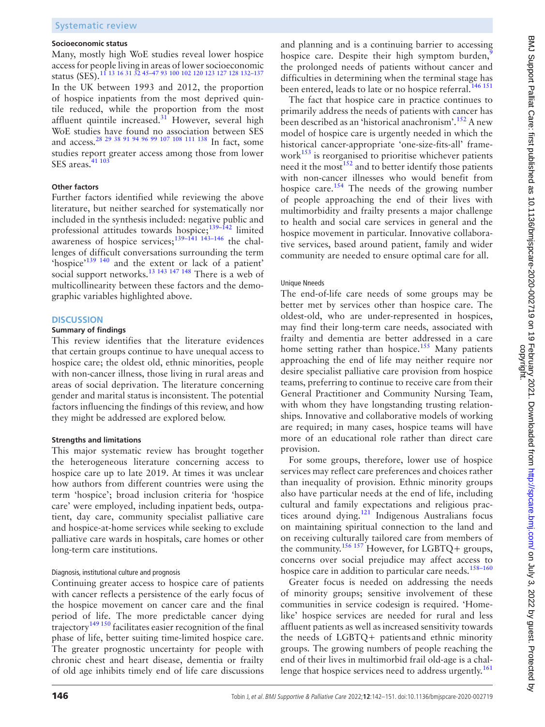#### **Socioeconomic status**

Many, mostly high WoE studies reveal lower hospice access for people living in areas of lower socioeconomic status (SES)[.11 13 16 31 32 45–47 93 100 102 120 123 127 128 132–137](#page-5-9) In the UK between 1993 and 2012, the proportion of hospice inpatients from the most deprived quintile reduced, while the proportion from the most affluent quintile increased.<sup>31</sup> However, several high WoE studies have found no association between SES and access.<sup>28 29 38 91 94 96 99 107 108 111 138</sup> In fact, some studies report greater access among those from lower SES areas.<sup>[41 103](#page-6-13)</sup>

#### **Other factors**

Further factors identified while reviewing the above literature, but neither searched for systematically nor included in the synthesis included: negative public and professional attitudes towards hospice;<sup>139–142</sup> limited awareness of hospice services;<sup>139–141 143–146</sup> the challenges of difficult conversations surrounding the term 'hospice['139 140](#page-9-0) and the extent or lack of a patient' social support networks.<sup>13 143 147 148</sup> There is a web of multicollinearity between these factors and the demographic variables highlighted above.

#### **DISCUSSION**

#### **Summary of findings**

This review identifies that the literature evidences that certain groups continue to have unequal access to hospice care; the oldest old, ethnic minorities, people with non-cancer illness, those living in rural areas and areas of social deprivation. The literature concerning gender and marital status is inconsistent. The potential factors influencing the findings of this review, and how they might be addressed are explored below.

#### **Strengths and limitations**

This major systematic review has brought together the heterogeneous literature concerning access to hospice care up to late 2019. At times it was unclear how authors from different countries were using the term 'hospice'; broad inclusion criteria for 'hospice care' were employed, including inpatient beds, outpatient, day care, community specialist palliative care and hospice-at-home services while seeking to exclude palliative care wards in hospitals, care homes or other long-term care institutions.

#### Diagnosis, institutional culture and prognosis

Continuing greater access to hospice care of patients with cancer reflects a persistence of the early focus of the hospice movement on cancer care and the final period of life. The more predictable cancer dying trajectory<sup>[149 150](#page-9-1)</sup> facilitates easier recognition of the final phase of life, better suiting time-limited hospice care. The greater prognostic uncertainty for people with chronic chest and heart disease, dementia or frailty of old age inhibits timely end of life care discussions

and planning and is a continuing barrier to accessing hospice care. Despite their high symptom burden,<sup>9</sup> the prolonged needs of patients without cancer and difficulties in determining when the terminal stage has been entered, leads to late or no hospice referral.<sup>[146 151](#page-9-2)</sup>

The fact that hospice care in practice continues to primarily address the needs of patients with cancer has been described as an 'historical anachronism'.<sup>[152](#page-9-3)</sup> A new model of hospice care is urgently needed in which the historical cancer-appropriate 'one-size-fits-all' framework $153$  is reorganised to prioritise whichever patients need it the most  $152$  and to better identify those patients with non-cancer illnesses who would benefit from hospice care.<sup>154</sup> The needs of the growing number of people approaching the end of their lives with multimorbidity and frailty presents a major challenge to health and social care services in general and the hospice movement in particular. Innovative collaborative services, based around patient, family and wider community are needed to ensure optimal care for all.

#### Unique Nneeds

The end-of-life care needs of some groups may be better met by services other than hospice care. The oldest-old, who are under-represented in hospices, may find their long-term care needs, associated with frailty and dementia are better addressed in a care home setting rather than hospice.<sup>[155](#page-9-6)</sup> Many patients approaching the end of life may neither require nor desire specialist palliative care provision from hospice teams, preferring to continue to receive care from their General Practitioner and Community Nursing Team, with whom they have longstanding trusting relationships. Innovative and collaborative models of working are required; in many cases, hospice teams will have more of an educational role rather than direct care provision.

For some groups, therefore, lower use of hospice services may reflect care preferences and choices rather than inequality of provision. Ethnic minority groups also have particular needs at the end of life, including cultural and family expectations and religious practices around dying.<sup>121</sup> Indigenous Australians focus on maintaining spiritual connection to the land and on receiving culturally tailored care from members of the community.<sup>156 157</sup> However, for LGBTQ+ groups, concerns over social prejudice may affect access to hospice care in addition to particular care needs.<sup>158-160</sup>

Greater focus is needed on addressing the needs of minority groups; sensitive involvement of these communities in service codesign is required. 'Homelike' hospice services are needed for rural and less affluent patients as well as increased sensitivity towards the needs of LGBTQ+ patients and ethnic minority groups. The growing numbers of people reaching the end of their lives in multimorbid frail old-age is a chal-lenge that hospice services need to address urgently.<sup>[161](#page-9-9)</sup>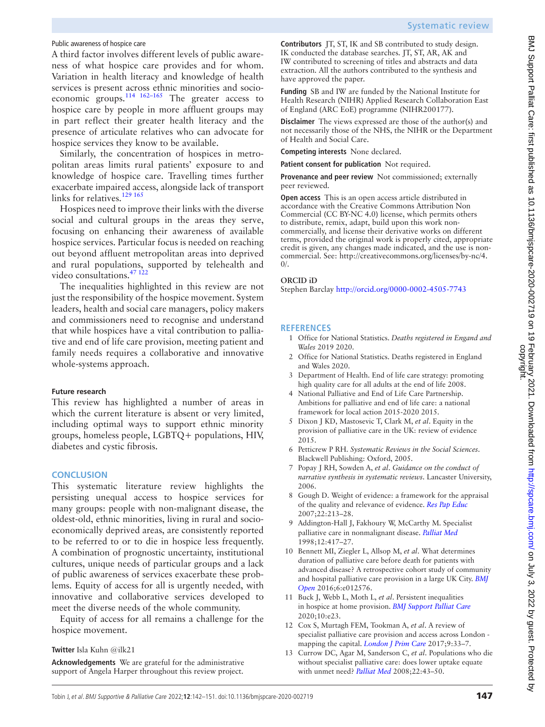# Public awareness of hospice care

A third factor involves different levels of public awareness of what hospice care provides and for whom. Variation in health literacy and knowledge of health services is present across ethnic minorities and socioeconomic groups.[114 162–165](#page-8-8) The greater access to hospice care by people in more affluent groups may in part reflect their greater health literacy and the presence of articulate relatives who can advocate for hospice services they know to be available.

Similarly, the concentration of hospices in metropolitan areas limits rural patients' exposure to and knowledge of hospice care. Travelling times further exacerbate impaired access, alongside lack of transport links for relatives.<sup>129 165</sup>

Hospices need to improve their links with the diverse social and cultural groups in the areas they serve, focusing on enhancing their awareness of available hospice services. Particular focus is needed on reaching out beyond affluent metropolitan areas into deprived and rural populations, supported by telehealth and video consultations.[47 122](#page-6-14)

The inequalities highlighted in this review are not just the responsibility of the hospice movement. System leaders, health and social care managers, policy makers and commissioners need to recognise and understand that while hospices have a vital contribution to palliative and end of life care provision, meeting patient and family needs requires a collaborative and innovative whole-systems approach.

# **Future research**

This review has highlighted a number of areas in which the current literature is absent or very limited, including optimal ways to support ethnic minority groups, homeless people, LGBTQ+ populations, HIV, diabetes and cystic fibrosis.

# **CONCLUSION**

This systematic literature review highlights the persisting unequal access to hospice services for many groups: people with non-malignant disease, the oldest-old, ethnic minorities, living in rural and socioeconomically deprived areas, are consistently reported to be referred to or to die in hospice less frequently. A combination of prognostic uncertainty, institutional cultures, unique needs of particular groups and a lack of public awareness of services exacerbate these problems. Equity of access for all is urgently needed, with innovative and collaborative services developed to meet the diverse needs of the whole community.

Equity of access for all remains a challenge for the hospice movement.

# **Twitter** Isla Kuhn [@ilk21](https://twitter.com/ilk21)

**Acknowledgements** We are grateful for the administrative support of Angela Harper throughout this review project.

**Contributors** JT, ST, IK and SB contributed to study design. IK conducted the database searches. JT, ST, AR, AK and IW contributed to screening of titles and abstracts and data extraction. All the authors contributed to the synthesis and have approved the paper.

**Funding** SB and IW are funded by the National Institute for Health Research (NIHR) Applied Research Collaboration East of England (ARC EoE) programme (NIHR200177).

**Disclaimer** The views expressed are those of the author(s) and not necessarily those of the NHS, the NIHR or the Department of Health and Social Care.

**Competing interests** None declared.

**Patient consent for publication** Not required.

**Provenance and peer review** Not commissioned; externally peer reviewed.

**Open access** This is an open access article distributed in accordance with the Creative Commons Attribution Non Commercial (CC BY-NC 4.0) license, which permits others to distribute, remix, adapt, build upon this work noncommercially, and license their derivative works on different terms, provided the original work is properly cited, appropriate credit is given, any changes made indicated, and the use is noncommercial. See: [http://creativecommons.org/licenses/by-nc/4.](http://creativecommons.org/licenses/by-nc/4.0/)  $0/$ .

# **ORCID iD**

Stephen Barclay<http://orcid.org/0000-0002-4505-7743>

# **REFERENCES**

- <span id="page-5-0"></span>1 Office for National Statistics. *Deaths registered in Engand and Wales* 2019 2020.
- <span id="page-5-1"></span>2 Office for National Statistics. Deaths registered in England and Wales 2020.
- <span id="page-5-2"></span>3 Department of Health. End of life care strategy: promoting high quality care for all adults at the end of life 2008.
- <span id="page-5-3"></span>4 National Palliative and End of Life Care Partnership. Ambitions for palliative and end of life care: a national framework for local action 2015-2020 2015.
- <span id="page-5-4"></span>5 Dixon J KD, Mastosevic T, Clark M, *et al*. Equity in the provision of palliative care in the UK: review of evidence 2015.
- <span id="page-5-5"></span>6 Petticrew P RH. *Systematic Reviews in the Social Sciences*. Blackwell Publishing: Oxford, 2005.
- 7 Popay J RH, Sowden A, *et al*. *Guidance on the conduct of narrative synthesis in systematic reviews*. Lancaster University, 2006.
- <span id="page-5-6"></span>8 Gough D. Weight of evidence: a framework for the appraisal of the quality and relevance of evidence. *[Res Pap Educ](http://dx.doi.org/10.1080/02671520701296189)* 2007;22:213–28.
- <span id="page-5-7"></span>9 Addington-Hall J, Fakhoury W, McCarthy M. Specialist palliative care in nonmalignant disease. *[Palliat Med](http://dx.doi.org/10.1191/026921698676924076)* 1998;12:417–27.
- <span id="page-5-8"></span>10 Bennett MI, Ziegler L, Allsop M, *et al*. What determines duration of palliative care before death for patients with advanced disease? A retrospective cohort study of community and hospital palliative care provision in a large UK City. *[BMJ](http://dx.doi.org/10.1136/bmjopen-2016-012576)  [Open](http://dx.doi.org/10.1136/bmjopen-2016-012576)* 2016;6:e012576.
- <span id="page-5-9"></span>11 Buck J, Webb L, Moth L, *et al*. Persistent inequalities in hospice at home provision. *[BMJ Support Palliat Care](http://dx.doi.org/10.1136/bmjspcare-2017-001367)* 2020;10:e23.
- 12 Cox S, Murtagh FEM, Tookman A, *et al*. A review of specialist palliative care provision and access across London mapping the capital. *[London J Prim Care](http://dx.doi.org/10.1080/17571472.2016.1256045)* 2017;9:33–7.
- <span id="page-5-10"></span>13 Currow DC, Agar M, Sanderson C, *et al*. Populations who die without specialist palliative care: does lower uptake equate with unmet need? *[Palliat Med](http://dx.doi.org/10.1177/0269216307085182)* 2008;22:43–50.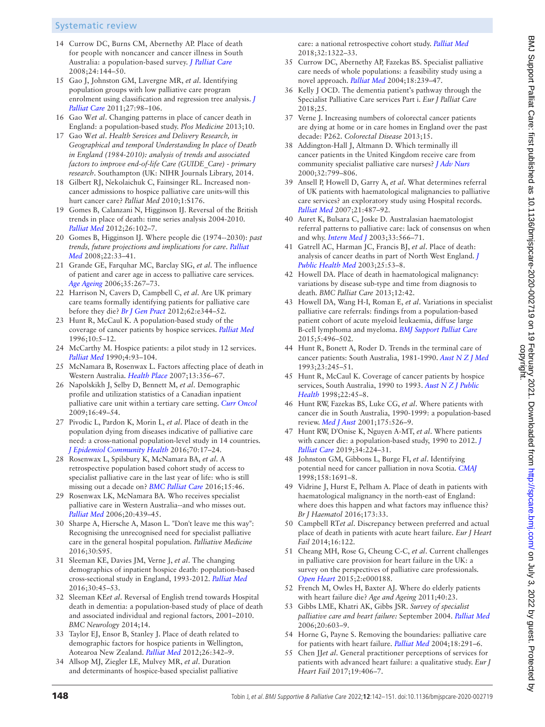# Systematic review

- 14 Currow DC, Burns CM, Abernethy AP. Place of death for people with noncancer and cancer illness in South Australia: a population-based survey. *[J Palliat Care](http://dx.doi.org/10.1177/082585970802400303)* 2008;24:144–50.
- <span id="page-6-9"></span>15 Gao J, Johnston GM, Lavergne MR, *et al*. Identifying population groups with low palliative care program enrolment using classification and regression tree analysis. *[J](http://dx.doi.org/10.1177/082585971102700205)  [Palliat Care](http://dx.doi.org/10.1177/082585971102700205)* 2011;27:98–106.
- <span id="page-6-3"></span>16 Gao W*et al*. Changing patterns in place of cancer death in England: a population-based study. *Plos Medicine* 2013;10.
- 17 Gao W*et al*. *Health Services and Delivery Research, in Geographical and temporal Understanding In place of Death in England (1984-2010): analysis of trends and associated factors to improve end-of-life Care (GUIDE\_Care) - primary research*. Southampton (UK: NIHR Journals Library, 2014.
- <span id="page-6-1"></span>18 Gilbert RJ, Nekolaichuk C, Fainsinger RL. Increased noncancer admissions to hospice palliative care units-will this hurt cancer care? *Palliat Med* 2010;1:S176.
- 19 Gomes B, Calanzani N, Higginson IJ. Reversal of the British trends in place of death: time series analysis 2004-2010. *[Palliat Med](http://dx.doi.org/10.1177/0269216311432329)* 2012;26:102–7.
- 20 Gomes B, Higginson IJ. Where people die (1974--2030): *past trends, future projections and implications for care*. *[Palliat](http://dx.doi.org/10.1177/0269216307084606)  [Med](http://dx.doi.org/10.1177/0269216307084606)* 2008;22:33–41.
- 21 Grande GE, Farquhar MC, Barclay SIG, *et al*. The influence of patient and carer age in access to palliative care services. *[Age Ageing](http://dx.doi.org/10.1093/ageing/afj071)* 2006;35:267–73.
- 22 Harrison N, Cavers D, Campbell C, *et al*. Are UK primary care teams formally identifying patients for palliative care before they die? *[Br J Gen Pract](http://dx.doi.org/10.3399/bjgp12X641465)* 2012;62:e344–52.
- <span id="page-6-4"></span>23 Hunt R, McCaul K. A population-based study of the coverage of cancer patients by hospice services. *[Palliat Med](http://dx.doi.org/10.1177/026921639601000103)* 1996;10:5–12.
- 24 McCarthy M. Hospice patients: a pilot study in 12 services. *[Palliat Med](http://dx.doi.org/10.1177/026921639000400206)* 1990;4:93–104.
- <span id="page-6-11"></span>25 McNamara B, Rosenwax L. Factors affecting place of death in Western Australia. *[Health Place](http://dx.doi.org/10.1016/j.healthplace.2006.03.001)* 2007;13:356–67.
- 26 Napolskikh J, Selby D, Bennett M, *et al*. Demographic profile and utilization statistics of a Canadian inpatient palliative care unit within a tertiary care setting. *[Curr Oncol](http://dx.doi.org/10.3747/co.v16i1.172)* 2009;16:49–54.
- 27 Pivodic L, Pardon K, Morin L, *et al*. Place of death in the population dying from diseases indicative of palliative care need: a cross-national population-level study in 14 countries. *[J Epidemiol Community Health](http://dx.doi.org/10.1136/jech-2014-205365)* 2016;70:17–24.
- <span id="page-6-2"></span>28 Rosenwax L, Spilsbury K, McNamara BA, *et al*. A retrospective population based cohort study of access to specialist palliative care in the last year of life: who is still missing out a decade on? *[BMC Palliat Care](http://dx.doi.org/10.1186/s12904-016-0119-2)* 2016;15:46.
- 29 Rosenwax LK, McNamara BA. Who receives specialist palliative care in Western Australia--and who misses out. *[Palliat Med](http://dx.doi.org/10.1191/0269216306pm1146oa)* 2006;20:439–45.
- <span id="page-6-8"></span>30 Sharpe A, Hiersche A, Mason L. "Don't leave me this way": Recognising the unrecognised need for specialist palliative care in the general hospital population. *Palliative Medicine* 2016;30:S95.
- <span id="page-6-0"></span>31 Sleeman KE, Davies JM, Verne J, *et al*. The changing demographics of inpatient hospice death: population-based cross-sectional study in England, 1993-2012. *[Palliat Med](http://dx.doi.org/10.1177/0269216315585064)* 2016;30:45–53.
- 32 Sleeman KE*et al*. Reversal of English trend towards Hospital death in dementia: a population-based study of place of death and associated individual and regional factors, 2001–2010. *BMC Neurology* 2014;14.
- <span id="page-6-12"></span>33 Taylor EJ, Ensor B, Stanley J. Place of death related to demographic factors for hospice patients in Wellington, Aotearoa New Zealand. *[Palliat Med](http://dx.doi.org/10.1177/0269216311412229)* 2012;26:342–9.
- <span id="page-6-7"></span>34 Allsop MJ, Ziegler LE, Mulvey MR, *et al*. Duration and determinants of hospice-based specialist palliative

care: a national retrospective cohort study. *[Palliat Med](http://dx.doi.org/10.1177/0269216318781417)* 2018;32:1322–33.

- 35 Currow DC, Abernethy AP, Fazekas BS. Specialist palliative care needs of whole populations: a feasibility study using a novel approach. *[Palliat Med](http://dx.doi.org/10.1191/0269216304pm873oa)* 2004;18:239–47.
- 36 Kelly J OCD. The dementia patient's pathway through the Specialist Palliative Care services Part i. *Eur J Palliat Care* 2018;25.
- 37 Verne J. Increasing numbers of colorectal cancer patients are dying at home or in care homes in England over the past decade: P262. *Colorectal Disease* 2013;15.
- 38 Addington-Hall J, Altmann D. Which terminally ill cancer patients in the United Kingdom receive care from community specialist palliative care nurses? *[J Adv Nurs](http://www.ncbi.nlm.nih.gov/pubmed/11095217)* 2000;32:799–806.
- 39 Ansell P, Howell D, Garry A, *et al*. What determines referral of UK patients with haematological malignancies to palliative care services? an exploratory study using Hospital records. *[Palliat Med](http://dx.doi.org/10.1177/0269216307082020)* 2007;21:487–92.
- 40 Auret K, Bulsara C, Joske D. Australasian haematologist referral patterns to palliative care: lack of consensus on when and why. *[Intern Med J](http://dx.doi.org/10.1111/j.1445-5994.2003.00490.x)* 2003;33:566–71.
- <span id="page-6-13"></span>41 Gatrell AC, Harman JC, Francis BJ, *et al*. Place of death: analysis of cancer deaths in part of North West England. *[J](http://dx.doi.org/10.1093/pubmed/fdg011)  [Public Health Med](http://dx.doi.org/10.1093/pubmed/fdg011)* 2003;25:53–8.
- 42 Howell DA. Place of death in haematological malignancy: variations by disease sub-type and time from diagnosis to death. *BMC Palliat Care* 2013;12:42.
- 43 Howell DA, Wang H-I, Roman E, *et al*. Variations in specialist palliative care referrals: findings from a population-based patient cohort of acute myeloid leukaemia, diffuse large B-cell lymphoma and myeloma. *[BMJ Support Palliat Care](http://dx.doi.org/10.1136/bmjspcare-2013-000578)* 2015;5:496–502.
- 44 Hunt R, Bonett A, Roder D. Trends in the terminal care of cancer patients: South Australia, 1981-1990. *[Aust N Z J Med](http://dx.doi.org/10.1111/j.1445-5994.1993.tb01725.x)* 1993;23:245–51.
- <span id="page-6-10"></span>45 Hunt R, McCaul K. Coverage of cancer patients by hospice services, South Australia, 1990 to 1993. *[Aust N Z J Public](http://dx.doi.org/10.1111/j.1467-842X.1998.tb01143.x)  [Health](http://dx.doi.org/10.1111/j.1467-842X.1998.tb01143.x)* 1998;22:45–8.
- 46 Hunt RW, Fazekas BS, Luke CG, *et al*. Where patients with cancer die in South Australia, 1990-1999: a population-based review. *[Med J Aust](http://dx.doi.org/10.5694/j.1326-5377.2001.tb143710.x)* 2001;175:526–9.
- <span id="page-6-14"></span>47 Hunt RW, D'Onise K, Nguyen A-MT, *et al*. Where patients with cancer die: a population-based study, 1990 to 2012. *[J](http://dx.doi.org/10.1177/0825859718814813)  [Palliat Care](http://dx.doi.org/10.1177/0825859718814813)* 2019;34:224–31.
- 48 Johnston GM, Gibbons L, Burge FI, *et al*. Identifying potential need for cancer palliation in nova Scotia. *[CMAJ](http://www.ncbi.nlm.nih.gov/pubmed/9676544)* 1998;158:1691–8.
- 49 Vidrine J, Hurst E, Pelham A. Place of death in patients with haematological malignancy in the north-east of England: where does this happen and what factors may influence this? *Br J Haematol* 2016;173:33.
- <span id="page-6-5"></span>50 Campbell RT*et al*. Discrepancy between preferred and actual place of death in patients with acute heart failure. *Eur J Heart Fail* 2014;16:122.
- <span id="page-6-6"></span>51 Cheang MH, Rose G, Cheung C-C, *et al*. Current challenges in palliative care provision for heart failure in the UK: a survey on the perspectives of palliative care professionals. *[Open Heart](http://dx.doi.org/10.1136/openhrt-2014-000188)* 2015;2:e000188.
- 52 French M, Owles H, Baxter AJ. Where do elderly patients with heart failure die? *Age and Ageing* 2011;40:23.
- 53 Gibbs LME, Khatri AK, Gibbs JSR. *Survey of specialist palliative care and heart failure:* September 2004. *[Palliat Med](http://dx.doi.org/10.1177/0269216306071063)* 2006;20:603–9.
- 54 Horne G, Payne S. Removing the boundaries: palliative care for patients with heart failure. *[Palliat Med](http://dx.doi.org/10.1191/0269216304pm893oa)* 2004;18:291–6.
- 55 Chen JJ*et al*. General practitioner perceptions of services for patients with advanced heart failure: a qualitative study. *Eur J Heart Fail* 2017;19:406–7.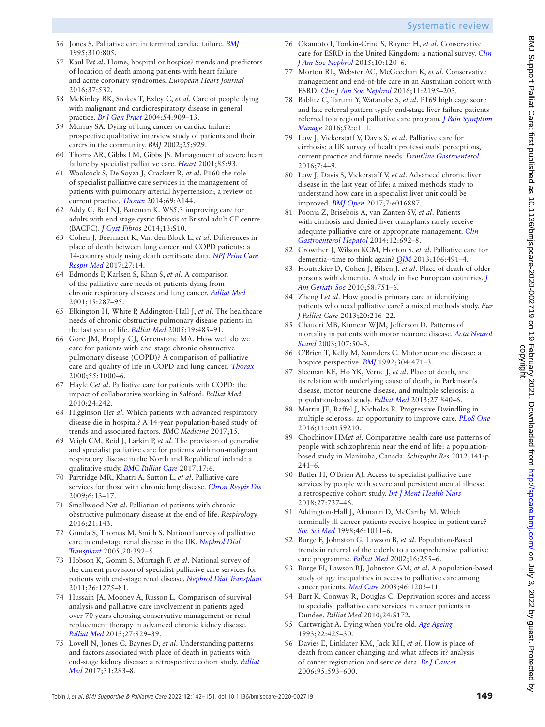- <span id="page-7-1"></span>56 Jones S. Palliative care in terminal cardiac failure. *[BMJ](http://dx.doi.org/10.1136/bmj.310.6982.805)* 1995;310:805. 57 Kaul P*et al*. Home, hospital or hospice? trends and predictors of location of death among patients with heart failure
	- and acute coronary syndromes. *European Heart Journal* 2016;37:532. 58 McKinley RK, Stokes T, Exley C, *et al*. Care of people dying
	- with malignant and cardiorespiratory disease in general practice. *[Br J Gen Pract](http://www.ncbi.nlm.nih.gov/pubmed/15588535)* 2004;54:909–13.
	- 59 Murray SA. Dying of lung cancer or cardiac failure: prospective qualitative interview study of patients and their carers in the community. *BMJ* 2002;25:929.
	- 60 Thorns AR, Gibbs LM, Gibbs JS. Management of severe heart failure by specialist palliative care. *[Heart](http://dx.doi.org/10.1136/heart.85.1.93)* 2001;85:93.
	- 61 Woolcock S, De Soyza J, Crackett R, *et al*. P160 the role of specialist palliative care services in the management of patients with pulmonary arterial hypertension; a review of current practice. *[Thorax](http://dx.doi.org/10.1136/thoraxjnl-2014-206260.289)* 2014;69:A144.
	- 62 Addy C, Bell NJ, Bateman K. WS5.3 improving care for adults with end stage cystic fibrosis at Bristol adult CF centre (BACFC). *[J Cyst Fibros](http://dx.doi.org/10.1016/S1569-1993(14)60033-3)* 2014;13:S10.
	- 63 Cohen J, Beernaert K, Van den Block L, *et al*. Differences in place of death between lung cancer and COPD patients: a 14-country study using death certificate data. *[NPJ Prim Care](http://dx.doi.org/10.1038/s41533-017-0017-y)  [Respir Med](http://dx.doi.org/10.1038/s41533-017-0017-y)* 2017;27:14.
	- 64 Edmonds P, Karlsen S, Khan S, *et al*. A comparison of the palliative care needs of patients dying from chronic respiratory diseases and lung cancer. *[Palliat Med](http://dx.doi.org/10.1191/026921601678320278)* 2001;15:287–95.
	- 65 Elkington H, White P, Addington-Hall J, *et al*. The healthcare needs of chronic obstructive pulmonary disease patients in the last year of life. *[Palliat Med](http://dx.doi.org/10.1191/0269216305pm1056oa)* 2005;19:485–91.
	- 66 Gore JM, Brophy CJ, Greenstone MA. How well do we care for patients with end stage chronic obstructive pulmonary disease (COPD)? A comparison of palliative care and quality of life in COPD and lung cancer. *[Thorax](http://dx.doi.org/10.1136/thorax.55.12.1000)* 2000;55:1000–6.
	- 67 Hayle C*et al*. Palliative care for patients with COPD: the impact of collaborative working in Salford. *Palliat Med* 2010;24:242.
	- 68 Higginson IJ*et al*. Which patients with advanced respiratory disease die in hospital? A 14-year population-based study of trends and associated factors. *BMC Medicine* 2017;15.
	- 69 Veigh CM, Reid J, Larkin P, *et al*. The provision of generalist and specialist palliative care for patients with non-malignant respiratory disease in the North and Republic of ireland: a qualitative study. *[BMC Palliat Care](http://dx.doi.org/10.1186/s12904-017-0220-1)* 2017;17:6.
	- 70 Partridge MR, Khatri A, Sutton L, *et al*. Palliative care services for those with chronic lung disease. *[Chron Respir Dis](http://dx.doi.org/10.1177/1479972308100538)* 2009;6:13–17.
	- 71 Smallwood N*et al*. Palliation of patients with chronic obstructive pulmonary disease at the end of life. *Respirology* 2016;21:143.
	- 72 Gunda S, Thomas M, Smith S. National survey of palliative care in end-stage renal disease in the UK. *[Nephrol Dial](http://dx.doi.org/10.1093/ndt/gfh619)  [Transplant](http://dx.doi.org/10.1093/ndt/gfh619)* 2005;20:392–5.
	- 73 Hobson K, Gomm S, Murtagh F, *et al*. National survey of the current provision of specialist palliative care services for patients with end-stage renal disease. *[Nephrol Dial Transplant](http://dx.doi.org/10.1093/ndt/gfq530)* 2011;26:1275–81.
	- 74 Hussain JA, Mooney A, Russon L. Comparison of survival analysis and palliative care involvement in patients aged over 70 years choosing conservative management or renal replacement therapy in advanced chronic kidney disease. *[Palliat Med](http://dx.doi.org/10.1177/0269216313484380)* 2013;27:829–39.
	- 75 Lovell N, Jones C, Baynes D, *et al*. Understanding patterns and factors associated with place of death in patients with end-stage kidney disease: a retrospective cohort study. *[Palliat](http://dx.doi.org/10.1177/0269216316655747)  [Med](http://dx.doi.org/10.1177/0269216316655747)* 2017;31:283–8.
- 76 Okamoto I, Tonkin-Crine S, Rayner H, *et al*. Conservative care for ESRD in the United Kingdom: a national survey. *[Clin](http://dx.doi.org/10.2215/CJN.05000514)  [J Am Soc Nephrol](http://dx.doi.org/10.2215/CJN.05000514)* 2015;10:120–6.
- <span id="page-7-2"></span>77 Morton RL, Webster AC, McGeechan K, *et al*. Conservative management and end-of-life care in an Australian cohort with ESRD. *[Clin J Am Soc Nephrol](http://dx.doi.org/10.2215/CJN.11861115)* 2016;11:2195–203.
- 78 Bablitz C, Tarumi Y, Watanabe S, *et al*. P169 high cage score and late referral pattern typify end-stage liver failure patients referred to a regional palliative care program. *[J Pain Symptom](http://dx.doi.org/10.1016/j.jpainsymman.2016.10.238)  [Manage](http://dx.doi.org/10.1016/j.jpainsymman.2016.10.238)* 2016;52:e111.
- <span id="page-7-5"></span>79 Low J, Vickerstaff V, Davis S, *et al*. Palliative care for cirrhosis: a UK survey of health professionals' perceptions, current practice and future needs. *[Frontline Gastroenterol](http://dx.doi.org/10.1136/flgastro-2015-100613)* 2016;7:4–9.
- 80 Low J, Davis S, Vickerstaff V, *et al*. Advanced chronic liver disease in the last year of life: a mixed methods study to understand how care in a specialist liver unit could be improved. *[BMJ Open](http://dx.doi.org/10.1136/bmjopen-2017-016887)* 2017;7:e016887.
- 81 Poonja Z, Brisebois A, van Zanten SV, *et al*. Patients with cirrhosis and denied liver transplants rarely receive adequate palliative care or appropriate management. *[Clin](http://dx.doi.org/10.1016/j.cgh.2013.08.027)  [Gastroenterol Hepatol](http://dx.doi.org/10.1016/j.cgh.2013.08.027)* 2014;12:692–8.
- <span id="page-7-6"></span>82 Crowther J, Wilson KCM, Horton S, *et al*. Palliative care for dementia--time to think again? *[QJM](http://dx.doi.org/10.1093/qjmed/hct078)* 2013;106:491–4.
- <span id="page-7-7"></span>83 Houttekier D, Cohen J, Bilsen J, *et al*. Place of death of older persons with dementia. A study in five European countries. *[J](http://dx.doi.org/10.1111/j.1532-5415.2010.02771.x)  [Am Geriatr Soc](http://dx.doi.org/10.1111/j.1532-5415.2010.02771.x)* 2010;58:751–6.
- 84 Zheng L*et al*. How good is primary care at identifying patients who need palliative care? a mixed methods study. *Eur J Palliat Care* 2013;20:216–22.
- 85 Chaudri MB, Kinnear WJM, Jefferson D. Patterns of mortality in patients with motor neurone disease. *[Acta Neurol](http://dx.doi.org/10.1034/j.1600-0404.2003.02048.x)  [Scand](http://dx.doi.org/10.1034/j.1600-0404.2003.02048.x)* 2003;107:50–3.
- 86 O'Brien T, Kelly M, Saunders C. Motor neurone disease: a hospice perspective. *[BMJ](http://dx.doi.org/10.1136/bmj.304.6825.471)* 1992;304:471–3.
- <span id="page-7-8"></span><span id="page-7-0"></span>87 Sleeman KE, Ho YK, Verne J, *et al*. Place of death, and its relation with underlying cause of death, in Parkinson's disease, motor neurone disease, and multiple sclerosis: a population-based study. *[Palliat Med](http://dx.doi.org/10.1177/0269216313490436)* 2013;27:840–6.
- <span id="page-7-9"></span>88 Martin JE, Raffel J, Nicholas R. Progressive Dwindling in multiple sclerosis: an opportunity to improve care. *[PLoS One](http://dx.doi.org/10.1371/journal.pone.0159210)* 2016;11:e0159210.
- <span id="page-7-10"></span>89 Chochinov HM*et al*. Comparative health care use patterns of people with schizophrenia near the end of life: a populationbased study in Manitoba, Canada. *Schizophr Res* 2012;141:p. 241–6.
- 90 Butler H, O'Brien AJ. Access to specialist palliative care services by people with severe and persistent mental illness: a retrospective cohort study. *[Int J Ment Health Nurs](http://dx.doi.org/10.1111/inm.12360)* 2018;27:737–46.
- <span id="page-7-11"></span>91 Addington-Hall J, Altmann D, McCarthy M. Which terminally ill cancer patients receive hospice in-patient care? *[Soc Sci Med](http://dx.doi.org/10.1016/S0277-9536(97)10021-1)* 1998;46:1011–6.
- <span id="page-7-3"></span>92 Burge F, Johnston G, Lawson B, *et al*. Population-Based trends in referral of the elderly to a comprehensive palliative care programme. *[Palliat Med](http://dx.doi.org/10.1191/0269216302pm550xx)* 2002;16:255–6.
- 93 Burge FI, Lawson BJ, Johnston GM, *et al*. A population-based study of age inequalities in access to palliative care among cancer patients. *[Med Care](http://dx.doi.org/10.1097/MLR.0b013e31817d931d)* 2008;46:1203–11.
- <span id="page-7-4"></span>94 Burt K, Conway R, Douglas C. Deprivation scores and access to specialist palliative care services in cancer patients in Dundee. *Palliat Med* 2010;24:S172.
- 95 Cartwright A. Dying when you're old. *[Age Ageing](http://dx.doi.org/10.1093/ageing/22.6.425)* 1993;22:425–30.
- 96 Davies E, Linklater KM, Jack RH, *et al*. How is place of death from cancer changing and what affects it? analysis of cancer registration and service data. *[Br J Cancer](http://dx.doi.org/10.1038/sj.bjc.6603305)* 2006;95:593–600.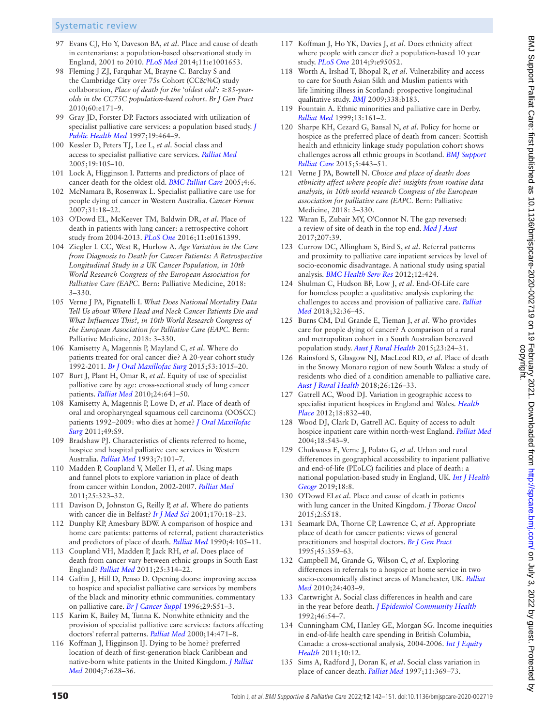# Systematic review

- <span id="page-8-0"></span>97 Evans CJ, Ho Y, Daveson BA, *et al*. Place and cause of death in centenarians: a population-based observational study in England, 2001 to 2010. *[PLoS Med](http://dx.doi.org/10.1371/journal.pmed.1001653)* 2014;11:e1001653.
- 98 Fleming J ZJ, Farquhar M, Brayne C. Barclay S and the Cambridge City over 75s Cohort (CC&%C) study collaboration, *Place of death for the 'oldest old': ≥85-yearolds in the CC75C population-based cohort*. *Br J Gen Pract* 2010;60:e171–9.
- 99 Gray JD, Forster DP. Factors associated with utilization of specialist palliative care services: a population based study. *[J](http://dx.doi.org/10.1093/oxfordjournals.pubmed.a024678)  [Public Health Med](http://dx.doi.org/10.1093/oxfordjournals.pubmed.a024678)* 1997;19:464–9.
- 100 Kessler D, Peters TJ, Lee L, *et al*. Social class and access to specialist palliative care services. *[Palliat Med](http://dx.doi.org/10.1191/0269216305pm980oa)* 2005;19:105–10.
- 101 Lock A, Higginson I. Patterns and predictors of place of cancer death for the oldest old. *[BMC Palliat Care](http://dx.doi.org/10.1186/1472-684X-4-6)* 2005;4:6.
- 102 McNamara B, Rosenwax L. Specialist palliative care use for people dying of cancer in Western Australia. *Cancer Forum* 2007;31:18–22.
- 103 O'Dowd EL, McKeever TM, Baldwin DR, *et al*. Place of death in patients with lung cancer: a retrospective cohort study from 2004-2013. *[PLoS One](http://dx.doi.org/10.1371/journal.pone.0161399)* 2016;11:e0161399.
- 104 Ziegler L CC, West R, Hurlow A. *Age Variation in the Care from Diagnosis to Death for Cancer Patients: A Retrospective Longitudinal Study in a UK Cancer Population, in 10th World Research Congress of the European Association for Palliative Care (EAPC*. Bern: Palliative Medicine, 2018: 3–330.
- 105 Verne J PA, Pignatelli I. *What Does National Mortality Data Tell Us about Where Head and Neck Cancer Patients Die and What Influences This?, in 10th World Research Congress of the European Association for Palliative Care (EAPC*. Bern: Palliative Medicine, 2018: 3–330.
- 106 Kamisetty A, Magennis P, Mayland C, *et al*. Where do patients treated for oral cancer die? A 20-year cohort study 1992-2011. *[Br J Oral Maxillofac Surg](http://dx.doi.org/10.1016/j.bjoms.2015.10.003)* 2015;53:1015–20.
- <span id="page-8-1"></span>107 Burt J, Plant H, Omar R, *et al*. Equity of use of specialist palliative care by age: cross-sectional study of lung cancer patients. *[Palliat Med](http://dx.doi.org/10.1177/0269216310364199)* 2010;24:641–50.
- 108 Kamisetty A, Magennis P, Lowe D, *et al*. Place of death of oral and oropharyngeal squamous cell carcinoma (OOSCC) patients 1992–2009: who dies at home? *[J Oral Maxillofac](http://dx.doi.org/10.1016/j.bjoms.2011.04.024)  [Surg](http://dx.doi.org/10.1016/j.bjoms.2011.04.024)* 2011;49:S9.
- 109 Bradshaw PJ. Characteristics of clients referred to home, hospice and hospital palliative care services in Western Australia. *[Palliat Med](http://dx.doi.org/10.1177/026921639300700203)* 1993;7:101–7.
- 110 Madden P, Coupland V, Møller H, *et al*. Using maps and funnel plots to explore variation in place of death from cancer within London, 2002-2007. *[Palliat Med](http://dx.doi.org/10.1177/0269216311398700)* 2011;25:323–32.
- 111 Davison D, Johnston G, Reilly P, *et al*. Where do patients with cancer die in Belfast? *[Ir J Med Sci](http://dx.doi.org/10.1007/BF03167714)* 2001;170:18–23.
- 112 Dunphy KP, Amesbury BDW. A comparison of hospice and home care patients: patterns of referral, patient characteristics and predictors of place of death. *[Palliat Med](http://dx.doi.org/10.1177/026921639000400207)* 1990;4:105–11.
- <span id="page-8-3"></span>113 Coupland VH, Madden P, Jack RH, *et al*. Does place of death from cancer vary between ethnic groups in South East England? *[Palliat Med](http://dx.doi.org/10.1177/0269216310395986)* 2011;25:314–22.
- <span id="page-8-8"></span>114 Gaffin J, Hill D, Penso D. Opening doors: improving access to hospice and specialist palliative care services by members of the black and minority ethnic communities. commentary on palliative care. *[Br J Cancer Suppl](http://www.ncbi.nlm.nih.gov/pubmed/8782800)* 1996;29:S51–3.
- 115 Karim K, Bailey M, Tunna K. Nonwhite ethnicity and the provision of specialist palliative care services: factors affecting doctors' referral patterns. *[Palliat Med](http://dx.doi.org/10.1191/026921600701536390)* 2000;14:471–8.
- <span id="page-8-4"></span>116 Koffman J, Higginson IJ. Dying to be home? preferred location of death of first-generation black Caribbean and native-born white patients in the United Kingdom. *[J Palliat](http://dx.doi.org/10.1089/jpm.2004.7.628)  [Med](http://dx.doi.org/10.1089/jpm.2004.7.628)* 2004;7:628–36.
- 117 Koffman J, Ho YK, Davies J, *et al*. Does ethnicity affect where people with cancer die? a population-based 10 year study. *[PLoS One](http://dx.doi.org/10.1371/journal.pone.0095052)* 2014;9:e95052.
- 118 Worth A, Irshad T, Bhopal R, *et al*. Vulnerability and access to care for South Asian Sikh and Muslim patients with life limiting illness in Scotland: prospective longitudinal qualitative study. *[BMJ](http://dx.doi.org/10.1136/bmj.b183)* 2009;338:b183.
- <span id="page-8-2"></span>119 Fountain A. Ethnic minorities and palliative care in Derby. *[Palliat Med](http://dx.doi.org/10.1191/026921699669352140)* 1999;13:161–2.
- 120 Sharpe KH, Cezard G, Bansal N, *et al*. Policy for home or hospice as the preferred place of death from cancer: Scottish health and ethnicity linkage study population cohort shows challenges across all ethnic groups in Scotland. *[BMJ Support](http://dx.doi.org/10.1136/bmjspcare-2013-000485)  [Palliat Care](http://dx.doi.org/10.1136/bmjspcare-2013-000485)* 2015;5:443–51.
- <span id="page-8-7"></span>121 Verne J PA, Bowtell N. *Choice and place of death: does ethnicity affect where people die? insights from routine data analysis, in 10th world research Congress of the European association for palliative care (EAPC*. Bern: Palliative Medicine, 2018: 3–330.
- 122 Waran E, Zubair MY, O'Connor N. The gap reversed: a review of site of death in the top end. *[Med J Aust](http://dx.doi.org/10.5694/mja17.00354)* 2017;207:39.
- 123 Currow DC, Allingham S, Bird S, *et al*. Referral patterns and proximity to palliative care inpatient services by level of socio-economic disadvantage. A national study using spatial analysis. *[BMC Health Serv Res](http://dx.doi.org/10.1186/1472-6963-12-424)* 2012;12:424.
- <span id="page-8-5"></span>124 Shulman C, Hudson BF, Low J, *et al*. End-Of-Life care for homeless people: a qualitative analysis exploring the challenges to access and provision of palliative care. *[Palliat](http://dx.doi.org/10.1177/0269216317717101)  [Med](http://dx.doi.org/10.1177/0269216317717101)* 2018;32:36–45.
- 125 Burns CM, Dal Grande E, Tieman J, *et al*. Who provides care for people dying of cancer? A comparison of a rural and metropolitan cohort in a South Australian bereaved population study. *[Aust J Rural Health](http://dx.doi.org/10.1111/ajr.12168)* 2015;23:24–31.
- 126 Rainsford S, Glasgow NJ, MacLeod RD, *et al*. Place of death in the Snowy Monaro region of new South Wales: a study of residents who died of a condition amenable to palliative care. *[Aust J Rural Health](http://dx.doi.org/10.1111/ajr.12393)* 2018;26:126–33.
- 127 Gatrell AC, Wood DJ. Variation in geographic access to specialist inpatient hospices in England and Wales. *[Health](http://dx.doi.org/10.1016/j.healthplace.2012.03.009)  [Place](http://dx.doi.org/10.1016/j.healthplace.2012.03.009)* 2012;18:832–40.
- 128 Wood DJ, Clark D, Gatrell AC. Equity of access to adult hospice inpatient care within north-west England. *[Palliat Med](http://dx.doi.org/10.1191/0269216304pm892oa)* 2004;18:543–9.
- <span id="page-8-9"></span>129 Chukwusa E, Verne J, Polato G, *et al*. Urban and rural differences in geographical accessibility to inpatient palliative and end-of-life (PEoLC) facilities and place of death: a national population-based study in England, UK. *[Int J Health](http://dx.doi.org/10.1186/s12942-019-0172-1)  [Geogr](http://dx.doi.org/10.1186/s12942-019-0172-1)* 2019;18:8.
- 130 O'Dowd EL*et al*. Place and cause of death in patients with lung cancer in the United Kingdom. *J Thorac Oncol* 2015;2:S518.
- <span id="page-8-6"></span>131 Seamark DA, Thorne CP, Lawrence C, *et al*. Appropriate place of death for cancer patients: views of general practitioners and hospital doctors. *[Br J Gen Pract](http://www.ncbi.nlm.nih.gov/pubmed/7612340)* 1995;45:359–63.
- 132 Campbell M, Grande G, Wilson C, *et al*. Exploring differences in referrals to a hospice at home service in two socio-economically distinct areas of Manchester, UK. *[Palliat](http://dx.doi.org/10.1177/0269216309354032)  [Med](http://dx.doi.org/10.1177/0269216309354032)* 2010;24:403–9.
- 133 Cartwright A. Social class differences in health and care in the year before death. *[J Epidemiol Community Health](http://dx.doi.org/10.1136/jech.46.1.54)* 1992;46:54–7.
- 134 Cunningham CM, Hanley GE, Morgan SG. Income inequities in end-of-life health care spending in British Columbia, Canada: a cross-sectional analysis, 2004-2006. *[Int J Equity](http://dx.doi.org/10.1186/1475-9276-10-12)  [Health](http://dx.doi.org/10.1186/1475-9276-10-12)* 2011;10:12.
- 135 Sims A, Radford J, Doran K, *et al*. Social class variation in place of cancer death. *[Palliat Med](http://dx.doi.org/10.1177/026921639701100506)* 1997;11:369–73.